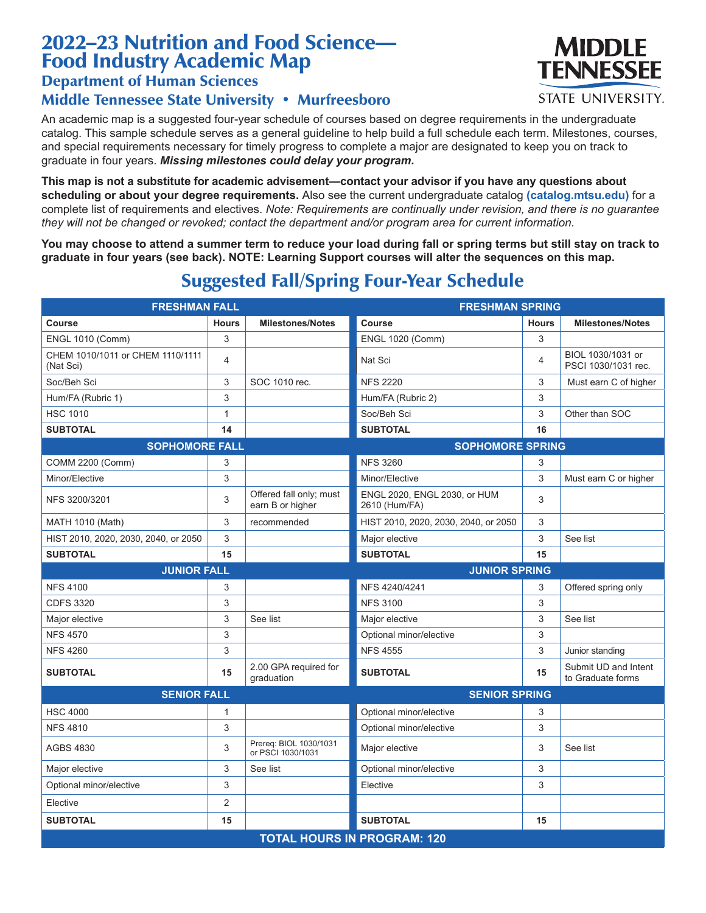# 2022–23 Nutrition and Food Science— Food Industry Academic Map

### Department of Human Sciences

#### Middle Tennessee State University • Murfreesboro

An academic map is a suggested four-year schedule of courses based on degree requirements in the undergraduate catalog. This sample schedule serves as a general guideline to help build a full schedule each term. Milestones, courses, and special requirements necessary for timely progress to complete a major are designated to keep you on track to graduate in four years. *Missing milestones could delay your program.*

**This map is not a substitute for academic advisement—contact your advisor if you have any questions about scheduling or about your degree requirements.** Also see the current undergraduate catalog **(catalog.mtsu.edu)** for a complete list of requirements and electives. *Note: Requirements are continually under revision, and there is no guarantee they will not be changed or revoked; contact the department and/or program area for current information.*

**You may choose to attend a summer term to reduce your load during fall or spring terms but still stay on track to graduate in four years (see back). NOTE: Learning Support courses will alter the sequences on this map.**

#### **FRESHMAN FALL FRESHMAN SPRING Course Hours Milestones/Notes Course Hours Milestones/Notes** ENGL 1010 (Comm) 3 ENGL 1020 (Comm) 3 CHEM 1010/1011 or CHEM 1110/1111 (Nat Sci) 4 Nat Sci 4 BIOL 1030/1031 or PSCI 1030/1031 rec. Soc/Beh Sci **3** SOC 1010 rec. NFS 2220 3 Must earn C of higher Hum/FA (Rubric 1) 3 Hum/FA (Rubric 2) 3 HSC 1010 1 1 Soc/Beh Sci 3 Other than SOC **SUBTOTAL 14 SUBTOTAL 16 SOPHOMORE FALL SOPHOMORE SPRING** COMM 2200 (Comm) 3 3 3 NFS 3260 3 3 3 3 3 3 3 3 4 3 3 4 3 3 4 3 3 4 3 4 3 4 3 3 4 3 3 4 3 4 3 4 3 4 3 4 3 4 3 4 3 4 3 4 4  $\pm$ Minor/Elective **3** 3 Minor/Elective 3 Minor/Elective 3 Must earn C or higher NFS 3200/3201  $\begin{array}{|c|c|c|c|c|}\n\hline\n3 & \text{offered fall only; must}\n\end{array}$ earn B or higher ENGL 2020, ENGL 2030, or HUM  $2610$  (Hum/FA)  $3$ MATH 1010 (Math)  $\begin{array}{|c|c|c|c|c|c|}\n\hline\n3 & \text{recommended} & \text{HIST 2010, 2020, 2030, 2040, or 2050} & 3\n\end{array}$ HIST 2010, 2020, 2030, 2040, or 2050 3 3 Major elective 3 See list **SUBTOTAL 15 SUBTOTAL 15 JUNIOR FALL JUNIOR SPRING** NFS 4100 3 3 3 NFS 4240/4241 3 Offered spring only CDFS 3320 3 3 3 3 3 4 5 5 6 6 7 7 8 3 4 5 6 7 8 7 8 3 4 5 3 4 6 7 8 3 3 4 5 3 4 5 7 8 3 4 5 3 4 5 3 4 5 8 3 4 5  $\,$  3  $\,$ Major elective **3** See list Major elective 3 See list NFS 4570 3 3 3 Optional minor/elective 3 NFS 4260 3 NFS 4555 3 Junior standing **SUBTOTAL** 15 2.00 GPA required for 2.00 GPA required for **SUBTOTAL 15** Submit UD and Intent graduation to Graduate forms **SENIOR FALL SENIOR SPRING** HSC 4000 1 1 Optional minor/elective 3 NFS 4810 3 3 3 Optional minor/elective 3 AGBS 4830 3 Prereq: BIOL 1030/1031 Prereq. BIOL 1030/1031 Major elective 3 See list Major elective **3** 3 See list **Department Optional minor/elective** 3 Optional minor/elective 3 Elective 3 Elective 2 **SUBTOTAL 15 SUBTOTAL 15 TOTAL HOURS IN PROGRAM: 120**

# Suggested Fall/Spring Four-Year Schedule